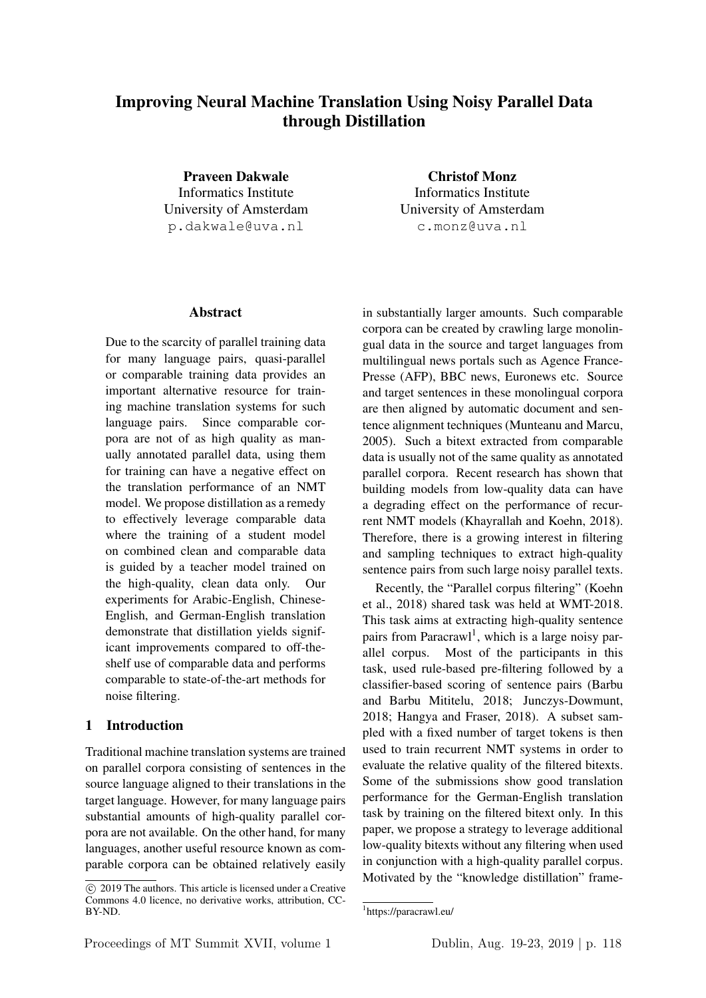# Improving Neural Machine Translation Using Noisy Parallel Data through Distillation

Praveen Dakwale Informatics Institute University of Amsterdam p.dakwale@uva.nl

Christof Monz Informatics Institute University of Amsterdam c.monz@uva.nl

#### Abstract

Due to the scarcity of parallel training data for many language pairs, quasi-parallel or comparable training data provides an important alternative resource for training machine translation systems for such language pairs. Since comparable corpora are not of as high quality as manually annotated parallel data, using them for training can have a negative effect on the translation performance of an NMT model. We propose distillation as a remedy to effectively leverage comparable data where the training of a student model on combined clean and comparable data is guided by a teacher model trained on the high-quality, clean data only. Our experiments for Arabic-English, Chinese-English, and German-English translation demonstrate that distillation yields significant improvements compared to off-theshelf use of comparable data and performs comparable to state-of-the-art methods for noise filtering.

# 1 Introduction

Traditional machine translation systems are trained on parallel corpora consisting of sentences in the source language aligned to their translations in the target language. However, for many language pairs substantial amounts of high-quality parallel corpora are not available. On the other hand, for many languages, another useful resource known as comparable corpora can be obtained relatively easily in substantially larger amounts. Such comparable corpora can be created by crawling large monolingual data in the source and target languages from multilingual news portals such as Agence France-Presse (AFP), BBC news, Euronews etc. Source and target sentences in these monolingual corpora are then aligned by automatic document and sentence alignment techniques (Munteanu and Marcu, 2005). Such a bitext extracted from comparable data is usually not of the same quality as annotated parallel corpora. Recent research has shown that building models from low-quality data can have a degrading effect on the performance of recurrent NMT models (Khayrallah and Koehn, 2018). Therefore, there is a growing interest in filtering and sampling techniques to extract high-quality sentence pairs from such large noisy parallel texts.

Recently, the "Parallel corpus filtering" (Koehn et al., 2018) shared task was held at WMT-2018. This task aims at extracting high-quality sentence pairs from Paracrawl<sup>1</sup>, which is a large noisy parallel corpus. Most of the participants in this task, used rule-based pre-filtering followed by a classifier-based scoring of sentence pairs (Barbu and Barbu Mititelu, 2018; Junczys-Dowmunt, 2018; Hangya and Fraser, 2018). A subset sampled with a fixed number of target tokens is then used to train recurrent NMT systems in order to evaluate the relative quality of the filtered bitexts. Some of the submissions show good translation performance for the German-English translation task by training on the filtered bitext only. In this paper, we propose a strategy to leverage additional low-quality bitexts without any filtering when used in conjunction with a high-quality parallel corpus. Motivated by the "knowledge distillation" frame-

c 2019 The authors. This article is licensed under a Creative Commons 4.0 licence, no derivative works, attribution, CC-BY-ND.

<sup>1</sup> https://paracrawl.eu/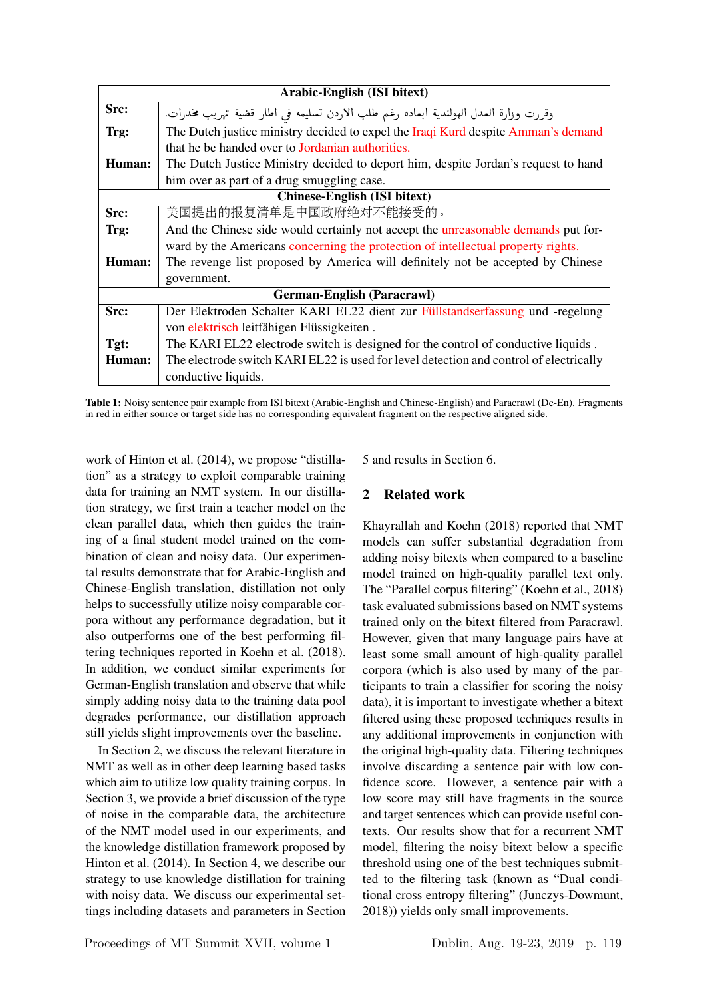| Arabic-English (ISI bitext)         |                                                                                          |  |  |
|-------------------------------------|------------------------------------------------------------------------------------------|--|--|
| Src:                                | وقررت وزارة العدل الهولندية ابعاده رغم طلب الاردن تسليمه في اطار قضية تهريب مخدرات.      |  |  |
| Trg:                                | The Dutch justice ministry decided to expel the Iraqi Kurd despite Amman's demand        |  |  |
|                                     | that he be handed over to Jordanian authorities.                                         |  |  |
| Human:                              | The Dutch Justice Ministry decided to deport him, despite Jordan's request to hand       |  |  |
|                                     | him over as part of a drug smuggling case.                                               |  |  |
| <b>Chinese-English (ISI bitext)</b> |                                                                                          |  |  |
| Src:                                | 美国提出的报复清单是中国政府绝对不能接受的。                                                                   |  |  |
| Trg:                                | And the Chinese side would certainly not accept the <i>unreasonable demands</i> put for- |  |  |
|                                     | ward by the Americans concerning the protection of intellectual property rights.         |  |  |
| Human:                              | The revenge list proposed by America will definitely not be accepted by Chinese          |  |  |
|                                     | government.                                                                              |  |  |
|                                     | <b>German-English (Paracrawl)</b>                                                        |  |  |
| Src:                                | Der Elektroden Schalter KARI EL22 dient zur Füllstandserfassung und -regelung            |  |  |
|                                     | von elektrisch leitfähigen Flüssigkeiten.                                                |  |  |
| Tgt:                                | The KARI EL22 electrode switch is designed for the control of conductive liquids.        |  |  |
| Human:                              | The electrode switch KARI EL22 is used for level detection and control of electrically   |  |  |
|                                     | conductive liquids.                                                                      |  |  |

Table 1: Noisy sentence pair example from ISI bitext (Arabic-English and Chinese-English) and Paracrawl (De-En). Fragments in red in either source or target side has no corresponding equivalent fragment on the respective aligned side.

work of Hinton et al. (2014), we propose "distillation" as a strategy to exploit comparable training data for training an NMT system. In our distillation strategy, we first train a teacher model on the clean parallel data, which then guides the training of a final student model trained on the combination of clean and noisy data. Our experimental results demonstrate that for Arabic-English and Chinese-English translation, distillation not only helps to successfully utilize noisy comparable corpora without any performance degradation, but it also outperforms one of the best performing filtering techniques reported in Koehn et al. (2018). In addition, we conduct similar experiments for German-English translation and observe that while simply adding noisy data to the training data pool degrades performance, our distillation approach still yields slight improvements over the baseline.

In Section 2, we discuss the relevant literature in NMT as well as in other deep learning based tasks which aim to utilize low quality training corpus. In Section 3, we provide a brief discussion of the type of noise in the comparable data, the architecture of the NMT model used in our experiments, and the knowledge distillation framework proposed by Hinton et al. (2014). In Section 4, we describe our strategy to use knowledge distillation for training with noisy data. We discuss our experimental settings including datasets and parameters in Section

5 and results in Section 6.

# 2 Related work

Khayrallah and Koehn (2018) reported that NMT models can suffer substantial degradation from adding noisy bitexts when compared to a baseline model trained on high-quality parallel text only. The "Parallel corpus filtering" (Koehn et al., 2018) task evaluated submissions based on NMT systems trained only on the bitext filtered from Paracrawl. However, given that many language pairs have at least some small amount of high-quality parallel corpora (which is also used by many of the participants to train a classifier for scoring the noisy data), it is important to investigate whether a bitext filtered using these proposed techniques results in any additional improvements in conjunction with the original high-quality data. Filtering techniques involve discarding a sentence pair with low confidence score. However, a sentence pair with a low score may still have fragments in the source and target sentences which can provide useful contexts. Our results show that for a recurrent NMT model, filtering the noisy bitext below a specific threshold using one of the best techniques submitted to the filtering task (known as "Dual conditional cross entropy filtering" (Junczys-Dowmunt, 2018)) yields only small improvements.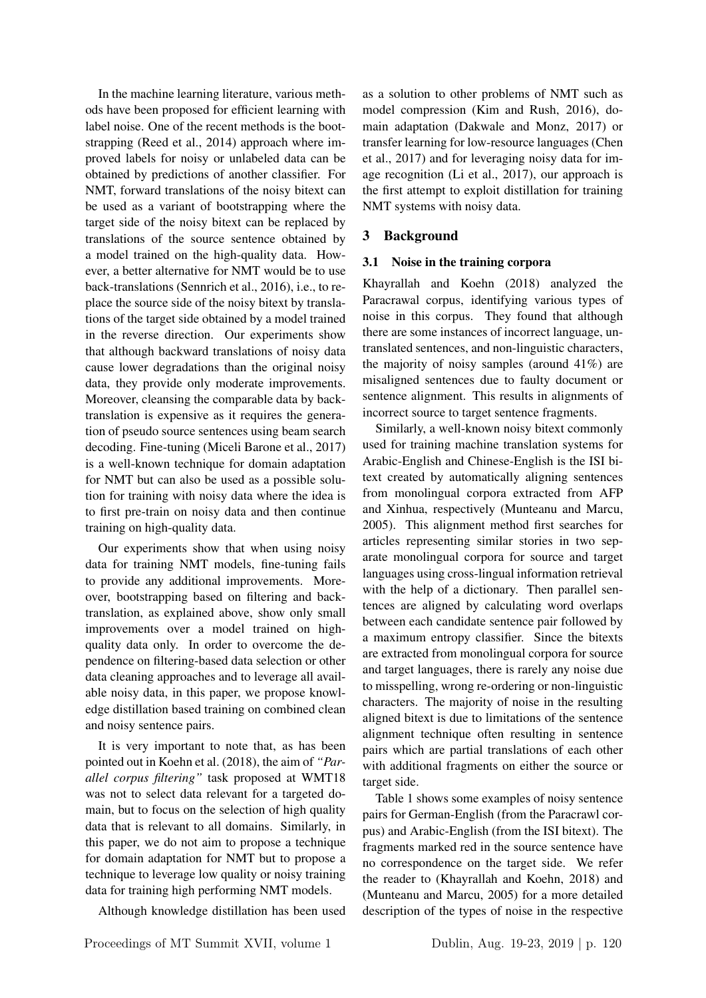In the machine learning literature, various methods have been proposed for efficient learning with label noise. One of the recent methods is the bootstrapping (Reed et al., 2014) approach where improved labels for noisy or unlabeled data can be obtained by predictions of another classifier. For NMT, forward translations of the noisy bitext can be used as a variant of bootstrapping where the target side of the noisy bitext can be replaced by translations of the source sentence obtained by a model trained on the high-quality data. However, a better alternative for NMT would be to use back-translations (Sennrich et al., 2016), i.e., to replace the source side of the noisy bitext by translations of the target side obtained by a model trained in the reverse direction. Our experiments show that although backward translations of noisy data cause lower degradations than the original noisy data, they provide only moderate improvements. Moreover, cleansing the comparable data by backtranslation is expensive as it requires the generation of pseudo source sentences using beam search decoding. Fine-tuning (Miceli Barone et al., 2017) is a well-known technique for domain adaptation for NMT but can also be used as a possible solution for training with noisy data where the idea is to first pre-train on noisy data and then continue training on high-quality data.

Our experiments show that when using noisy data for training NMT models, fine-tuning fails to provide any additional improvements. Moreover, bootstrapping based on filtering and backtranslation, as explained above, show only small improvements over a model trained on highquality data only. In order to overcome the dependence on filtering-based data selection or other data cleaning approaches and to leverage all available noisy data, in this paper, we propose knowledge distillation based training on combined clean and noisy sentence pairs.

It is very important to note that, as has been pointed out in Koehn et al. (2018), the aim of *"Parallel corpus filtering"* task proposed at WMT18 was not to select data relevant for a targeted domain, but to focus on the selection of high quality data that is relevant to all domains. Similarly, in this paper, we do not aim to propose a technique for domain adaptation for NMT but to propose a technique to leverage low quality or noisy training data for training high performing NMT models.

Although knowledge distillation has been used

as a solution to other problems of NMT such as model compression (Kim and Rush, 2016), domain adaptation (Dakwale and Monz, 2017) or transfer learning for low-resource languages (Chen et al., 2017) and for leveraging noisy data for image recognition (Li et al., 2017), our approach is the first attempt to exploit distillation for training NMT systems with noisy data.

# 3 Background

# 3.1 Noise in the training corpora

Khayrallah and Koehn (2018) analyzed the Paracrawal corpus, identifying various types of noise in this corpus. They found that although there are some instances of incorrect language, untranslated sentences, and non-linguistic characters, the majority of noisy samples (around 41%) are misaligned sentences due to faulty document or sentence alignment. This results in alignments of incorrect source to target sentence fragments.

Similarly, a well-known noisy bitext commonly used for training machine translation systems for Arabic-English and Chinese-English is the ISI bitext created by automatically aligning sentences from monolingual corpora extracted from AFP and Xinhua, respectively (Munteanu and Marcu, 2005). This alignment method first searches for articles representing similar stories in two separate monolingual corpora for source and target languages using cross-lingual information retrieval with the help of a dictionary. Then parallel sentences are aligned by calculating word overlaps between each candidate sentence pair followed by a maximum entropy classifier. Since the bitexts are extracted from monolingual corpora for source and target languages, there is rarely any noise due to misspelling, wrong re-ordering or non-linguistic characters. The majority of noise in the resulting aligned bitext is due to limitations of the sentence alignment technique often resulting in sentence pairs which are partial translations of each other with additional fragments on either the source or target side.

Table 1 shows some examples of noisy sentence pairs for German-English (from the Paracrawl corpus) and Arabic-English (from the ISI bitext). The fragments marked red in the source sentence have no correspondence on the target side. We refer the reader to (Khayrallah and Koehn, 2018) and (Munteanu and Marcu, 2005) for a more detailed description of the types of noise in the respective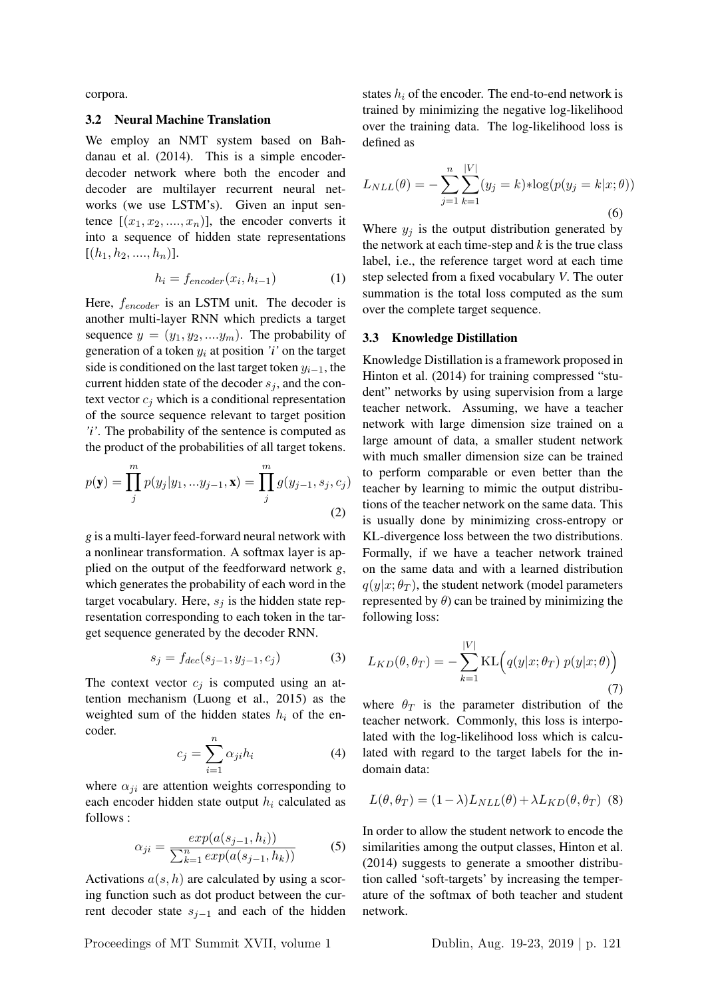corpora.

#### 3.2 Neural Machine Translation

We employ an NMT system based on Bahdanau et al. (2014). This is a simple encoderdecoder network where both the encoder and decoder are multilayer recurrent neural networks (we use LSTM's). Given an input sentence  $[(x_1, x_2, ..., x_n)]$ , the encoder converts it into a sequence of hidden state representations  $[(h_1, h_2, \ldots, h_n)].$ 

$$
h_i = f_{encoder}(x_i, h_{i-1})
$$
 (1)

Here,  $f_{encoder}$  is an LSTM unit. The decoder is another multi-layer RNN which predicts a target sequence  $y = (y_1, y_2, \dots, y_m)$ . The probability of generation of a token  $y_i$  at position *'i'* on the target side is conditioned on the last target token  $y_{i-1}$ , the current hidden state of the decoder  $s_j$ , and the context vector  $c_j$  which is a conditional representation of the source sequence relevant to target position *'i'*. The probability of the sentence is computed as the product of the probabilities of all target tokens.

$$
p(\mathbf{y}) = \prod_{j}^{m} p(y_j | y_1, \dots y_{j-1}, \mathbf{x}) = \prod_{j}^{m} g(y_{j-1}, s_j, c_j)
$$
\n(2)

*g* is a multi-layer feed-forward neural network with a nonlinear transformation. A softmax layer is applied on the output of the feedforward network *g*, which generates the probability of each word in the target vocabulary. Here,  $s_i$  is the hidden state representation corresponding to each token in the target sequence generated by the decoder RNN.

$$
s_j = f_{dec}(s_{j-1}, y_{j-1}, c_j)
$$
 (3)

The context vector  $c_j$  is computed using an attention mechanism (Luong et al., 2015) as the weighted sum of the hidden states  $h_i$  of the encoder.

$$
c_j = \sum_{i=1}^{n} \alpha_{ji} h_i \tag{4}
$$

where  $\alpha_{ji}$  are attention weights corresponding to each encoder hidden state output  $h_i$  calculated as follows :

$$
\alpha_{ji} = \frac{exp(a(s_{j-1}, h_i))}{\sum_{k=1}^{n} exp(a(s_{j-1}, h_k))}
$$
(5)

Activations  $a(s, h)$  are calculated by using a scoring function such as dot product between the current decoder state  $s_{i-1}$  and each of the hidden states  $h_i$  of the encoder. The end-to-end network is trained by minimizing the negative log-likelihood over the training data. The log-likelihood loss is defined as

$$
L_{NLL}(\theta) = -\sum_{j=1}^{n} \sum_{k=1}^{|V|} (y_j = k) * \log(p(y_j = k | x; \theta))
$$
\n(6)

Where  $y_j$  is the output distribution generated by the network at each time-step and *k* is the true class label, i.e., the reference target word at each time step selected from a fixed vocabulary *V*. The outer summation is the total loss computed as the sum over the complete target sequence.

#### 3.3 Knowledge Distillation

Knowledge Distillation is a framework proposed in Hinton et al. (2014) for training compressed "student" networks by using supervision from a large teacher network. Assuming, we have a teacher network with large dimension size trained on a large amount of data, a smaller student network with much smaller dimension size can be trained to perform comparable or even better than the teacher by learning to mimic the output distributions of the teacher network on the same data. This is usually done by minimizing cross-entropy or KL-divergence loss between the two distributions. Formally, if we have a teacher network trained on the same data and with a learned distribution  $q(y|x; \theta_T)$ , the student network (model parameters represented by  $\theta$ ) can be trained by minimizing the following loss:

$$
L_{KD}(\theta, \theta_T) = -\sum_{k=1}^{|V|} \text{KL}\Big(q(y|x; \theta_T) \ p(y|x; \theta)\Big)
$$
\n(7)

where  $\theta_T$  is the parameter distribution of the teacher network. Commonly, this loss is interpolated with the log-likelihood loss which is calculated with regard to the target labels for the indomain data:

$$
L(\theta, \theta_T) = (1 - \lambda) L_{NLL}(\theta) + \lambda L_{KD}(\theta, \theta_T)
$$
 (8)

In order to allow the student network to encode the similarities among the output classes, Hinton et al. (2014) suggests to generate a smoother distribution called 'soft-targets' by increasing the temperature of the softmax of both teacher and student network.

Proceedings of MT Summit XVII, volume 1 Dublin, Aug. 19-23, 2019 | p. 121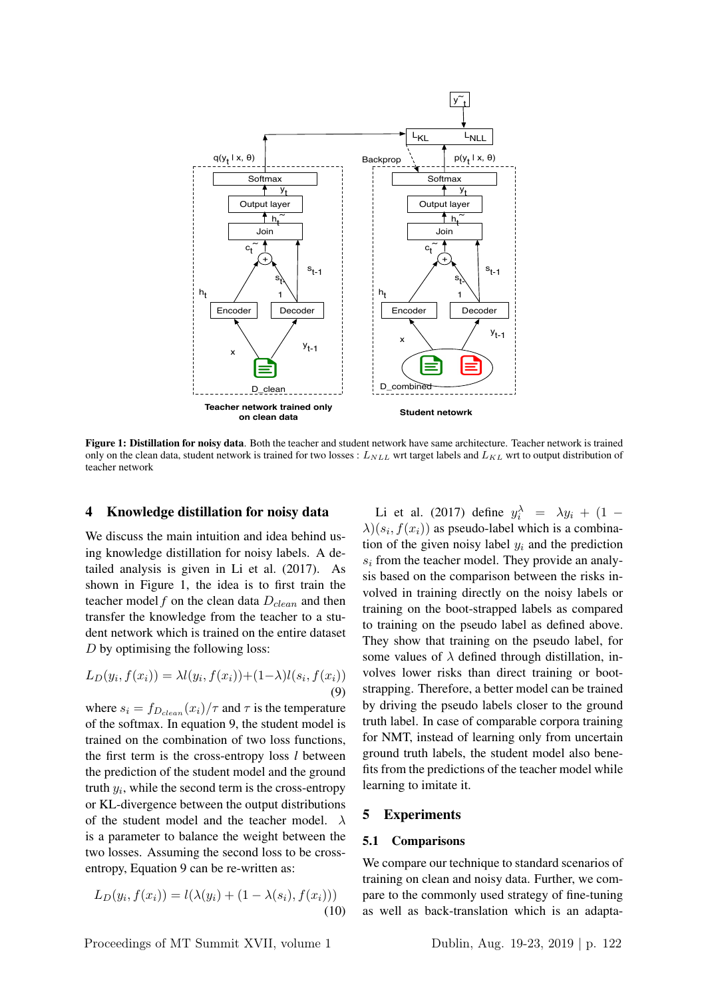

Figure 1: Distillation for noisy data. Both the teacher and student network have same architecture. Teacher network is trained only on the clean data, student network is trained for two losses :  $L_{NLL}$  wrt target labels and  $L_{KL}$  wrt to output distribution of teacher network

### 4 Knowledge distillation for noisy data

We discuss the main intuition and idea behind using knowledge distillation for noisy labels. A detailed analysis is given in Li et al. (2017). As shown in Figure 1, the idea is to first train the teacher model  $f$  on the clean data  $D_{clean}$  and then transfer the knowledge from the teacher to a student network which is trained on the entire dataset D by optimising the following loss:

$$
L_D(y_i, f(x_i)) = \lambda l(y_i, f(x_i)) + (1 - \lambda)l(s_i, f(x_i))
$$
\n(9)

where  $s_i = f_{D_{clean}}(x_i)/\tau$  and  $\tau$  is the temperature of the softmax. In equation 9, the student model is trained on the combination of two loss functions, the first term is the cross-entropy loss *l* between the prediction of the student model and the ground truth  $y_i$ , while the second term is the cross-entropy or KL-divergence between the output distributions of the student model and the teacher model.  $\lambda$ is a parameter to balance the weight between the two losses. Assuming the second loss to be crossentropy, Equation 9 can be re-written as:

$$
L_D(y_i, f(x_i)) = l(\lambda(y_i) + (1 - \lambda(s_i), f(x_i)))
$$
\n(10)

Li et al. (2017) define  $y_i^{\lambda} = \lambda y_i + (1 \lambda(x_i, f(x_i))$  as pseudo-label which is a combination of the given noisy label  $y_i$  and the prediction  $s_i$  from the teacher model. They provide an analysis based on the comparison between the risks involved in training directly on the noisy labels or training on the boot-strapped labels as compared to training on the pseudo label as defined above. They show that training on the pseudo label, for some values of  $\lambda$  defined through distillation, involves lower risks than direct training or bootstrapping. Therefore, a better model can be trained by driving the pseudo labels closer to the ground truth label. In case of comparable corpora training for NMT, instead of learning only from uncertain ground truth labels, the student model also benefits from the predictions of the teacher model while learning to imitate it.

### 5 Experiments

#### 5.1 Comparisons

We compare our technique to standard scenarios of training on clean and noisy data. Further, we compare to the commonly used strategy of fine-tuning as well as back-translation which is an adapta-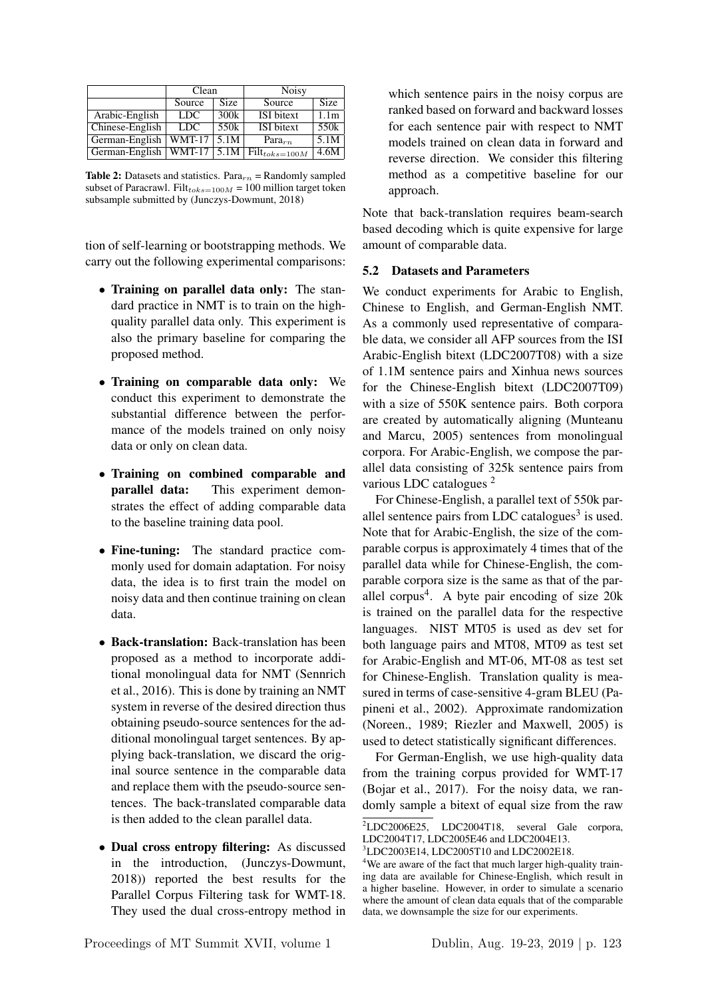|                 | Clean         |                      | <b>Noisy</b>                         |                  |  |
|-----------------|---------------|----------------------|--------------------------------------|------------------|--|
|                 | Source        | <b>Size</b>          | Source                               | <b>Size</b>      |  |
| Arabic-English  | LDC.          | 300k                 | <b>ISI</b> bitext                    | 1.1 <sub>m</sub> |  |
| Chinese-English | LDC.          | 550k                 | <b>ISI</b> bitext                    | 550 <sub>k</sub> |  |
| German-English  | <b>WMT-17</b> | 5.1M                 | $Para_{rn}$                          | 5.1M             |  |
| German-English  | $WMT-17$      | $\vert$ 5.1M $\vert$ | $\overline{\text{Filt}}_{toks=100M}$ | 4.6M             |  |

**Table 2:** Datasets and statistics. Para $_{rn}$  = Randomly sampled subset of Paracrawl. Filt $_{toks=100M}$  = 100 million target token subsample submitted by (Junczys-Dowmunt, 2018)

tion of self-learning or bootstrapping methods. We carry out the following experimental comparisons:

- Training on parallel data only: The standard practice in NMT is to train on the highquality parallel data only. This experiment is also the primary baseline for comparing the proposed method.
- Training on comparable data only: We conduct this experiment to demonstrate the substantial difference between the performance of the models trained on only noisy data or only on clean data.
- Training on combined comparable and parallel data: This experiment demon-This experiment demonstrates the effect of adding comparable data to the baseline training data pool.
- Fine-tuning: The standard practice commonly used for domain adaptation. For noisy data, the idea is to first train the model on noisy data and then continue training on clean data.
- Back-translation: Back-translation has been proposed as a method to incorporate additional monolingual data for NMT (Sennrich et al., 2016). This is done by training an NMT system in reverse of the desired direction thus obtaining pseudo-source sentences for the additional monolingual target sentences. By applying back-translation, we discard the original source sentence in the comparable data and replace them with the pseudo-source sentences. The back-translated comparable data is then added to the clean parallel data.
- Dual cross entropy filtering: As discussed in the introduction, (Junczys-Dowmunt, 2018)) reported the best results for the Parallel Corpus Filtering task for WMT-18. They used the dual cross-entropy method in

which sentence pairs in the noisy corpus are ranked based on forward and backward losses for each sentence pair with respect to NMT models trained on clean data in forward and reverse direction. We consider this filtering method as a competitive baseline for our approach.

Note that back-translation requires beam-search based decoding which is quite expensive for large amount of comparable data.

## 5.2 Datasets and Parameters

We conduct experiments for Arabic to English, Chinese to English, and German-English NMT. As a commonly used representative of comparable data, we consider all AFP sources from the ISI Arabic-English bitext (LDC2007T08) with a size of 1.1M sentence pairs and Xinhua news sources for the Chinese-English bitext (LDC2007T09) with a size of 550K sentence pairs. Both corpora are created by automatically aligning (Munteanu and Marcu, 2005) sentences from monolingual corpora. For Arabic-English, we compose the parallel data consisting of 325k sentence pairs from various LDC catalogues <sup>2</sup>

For Chinese-English, a parallel text of 550k parallel sentence pairs from LDC catalogues $3$  is used. Note that for Arabic-English, the size of the comparable corpus is approximately 4 times that of the parallel data while for Chinese-English, the comparable corpora size is the same as that of the parallel corpus<sup>4</sup>. A byte pair encoding of size 20k is trained on the parallel data for the respective languages. NIST MT05 is used as dev set for both language pairs and MT08, MT09 as test set for Arabic-English and MT-06, MT-08 as test set for Chinese-English. Translation quality is measured in terms of case-sensitive 4-gram BLEU (Papineni et al., 2002). Approximate randomization (Noreen., 1989; Riezler and Maxwell, 2005) is used to detect statistically significant differences.

For German-English, we use high-quality data from the training corpus provided for WMT-17 (Bojar et al., 2017). For the noisy data, we randomly sample a bitext of equal size from the raw

<sup>2</sup>LDC2006E25, LDC2004T18, several Gale corpora, LDC2004T17, LDC2005E46 and LDC2004E13.

<sup>3</sup>LDC2003E14, LDC2005T10 and LDC2002E18.

<sup>&</sup>lt;sup>4</sup>We are aware of the fact that much larger high-quality training data are available for Chinese-English, which result in a higher baseline. However, in order to simulate a scenario where the amount of clean data equals that of the comparable data, we downsample the size for our experiments.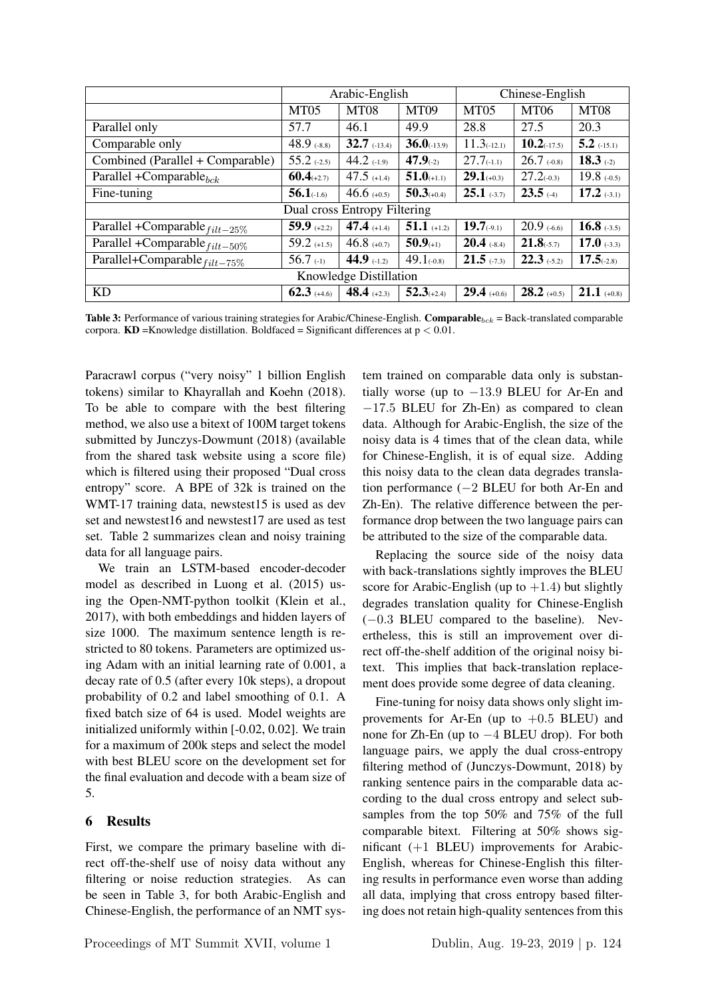|                                     | Arabic-English   |                  | Chinese-English  |                 |                |               |  |
|-------------------------------------|------------------|------------------|------------------|-----------------|----------------|---------------|--|
|                                     | MT <sub>05</sub> | MT <sub>08</sub> | MT <sub>09</sub> | MT05            | <b>MT06</b>    | MT08          |  |
| Parallel only                       | 57.7             | 46.1             | 49.9             | 28.8            | 27.5           | 20.3          |  |
| Comparable only                     | 48.9 $(.8.8)$    | $32.7$ (-13.4)   | $36.0_{(-13.9)}$ | 11.3(12.1)      | $10.2$ (-17.5) | $5.2$ (-15.1) |  |
| Combined (Parallel + Comparable)    | $55.2$ (-2.5)    | 44.2 $(-1.9)$    | 47.9(2)          | $27.7_{(-1.1)}$ | $26.7$ (-0.8)  | 18.3 $(-2)$   |  |
| Parallel + Comparable $_{bck}$      | $60.4$ (+2.7)    | 47.5 $(+1.4)$    | $51.0$ (+1.1)    | $29.1_{(+0.3)}$ | $27.2(-0.3)$   | $19.8$ (-0.5) |  |
| Fine-tuning                         | $56.1$ (-1.6)    | 46.6 $(+0.5)$    | $50.3(+0.4)$     | $25.1$ (-3.7)   | $23.5$ (-4)    | $17.2$ (-3.1) |  |
| Dual cross Entropy Filtering        |                  |                  |                  |                 |                |               |  |
| Parallel +Comparable $_{filt-25\%}$ | 59.9 $(+2.2)$    | 47.4 $(+1.4)$    | $51.1$ (+1.2)    | $19.7_{(-9.1)}$ | $20.9$ (-6.6)  | 16.8 $(.3.5)$ |  |
| Parallel +Comparable $_{filt-50\%}$ | 59.2 $(+1.5)$    | 46.8 $(+0.7)$    | 50.9(1)          | $20.4$ (-8.4)   | $21.8(-5.7)$   | 17.0 $(.3.3)$ |  |
| Parallel+Comparable $_{filt-75\%}$  | 56.7 $(-1)$      | 44.9 $(-1.2)$    | $49.1_{(-0.8)}$  | $21.5$ (-7.3)   | $22.3$ (-5.2)  | $17.5( -2.8)$ |  |
| Knowledge Distillation              |                  |                  |                  |                 |                |               |  |
| <b>KD</b>                           | $62.3$ (+4.6)    | 48.4 $(+2.3)$    | $52.3(+2.4)$     | $29.4$ (+0.6)   | $28.2$ (+0.5)  | $21.1$ (+0.8) |  |

Table 3: Performance of various training strategies for Arabic/Chinese-English. Comparable $_{bck}$  = Back-translated comparable corpora.  $KD =$ Knowledge distillation. Boldfaced = Significant differences at  $p < 0.01$ .

Paracrawl corpus ("very noisy" 1 billion English tokens) similar to Khayrallah and Koehn (2018). To be able to compare with the best filtering method, we also use a bitext of 100M target tokens submitted by Junczys-Dowmunt (2018) (available from the shared task website using a score file) which is filtered using their proposed "Dual cross entropy" score. A BPE of 32k is trained on the WMT-17 training data, newstest15 is used as dev set and newstest16 and newstest17 are used as test set. Table 2 summarizes clean and noisy training data for all language pairs.

We train an LSTM-based encoder-decoder model as described in Luong et al. (2015) using the Open-NMT-python toolkit (Klein et al., 2017), with both embeddings and hidden layers of size 1000. The maximum sentence length is restricted to 80 tokens. Parameters are optimized using Adam with an initial learning rate of 0.001, a decay rate of 0.5 (after every 10k steps), a dropout probability of 0.2 and label smoothing of 0.1. A fixed batch size of 64 is used. Model weights are initialized uniformly within [-0.02, 0.02]. We train for a maximum of 200k steps and select the model with best BLEU score on the development set for the final evaluation and decode with a beam size of 5.

# 6 Results

First, we compare the primary baseline with direct off-the-shelf use of noisy data without any filtering or noise reduction strategies. As can be seen in Table 3, for both Arabic-English and Chinese-English, the performance of an NMT system trained on comparable data only is substantially worse (up to  $-13.9$  BLEU for Ar-En and −17.5 BLEU for Zh-En) as compared to clean data. Although for Arabic-English, the size of the noisy data is 4 times that of the clean data, while for Chinese-English, it is of equal size. Adding this noisy data to the clean data degrades translation performance (−2 BLEU for both Ar-En and Zh-En). The relative difference between the performance drop between the two language pairs can be attributed to the size of the comparable data.

Replacing the source side of the noisy data with back-translations sightly improves the BLEU score for Arabic-English (up to  $+1.4$ ) but slightly degrades translation quality for Chinese-English (−0.3 BLEU compared to the baseline). Nevertheless, this is still an improvement over direct off-the-shelf addition of the original noisy bitext. This implies that back-translation replacement does provide some degree of data cleaning.

Fine-tuning for noisy data shows only slight improvements for Ar-En (up to  $+0.5$  BLEU) and none for Zh-En (up to −4 BLEU drop). For both language pairs, we apply the dual cross-entropy filtering method of (Junczys-Dowmunt, 2018) by ranking sentence pairs in the comparable data according to the dual cross entropy and select subsamples from the top 50% and 75% of the full comparable bitext. Filtering at 50% shows significant (+1 BLEU) improvements for Arabic-English, whereas for Chinese-English this filtering results in performance even worse than adding all data, implying that cross entropy based filtering does not retain high-quality sentences from this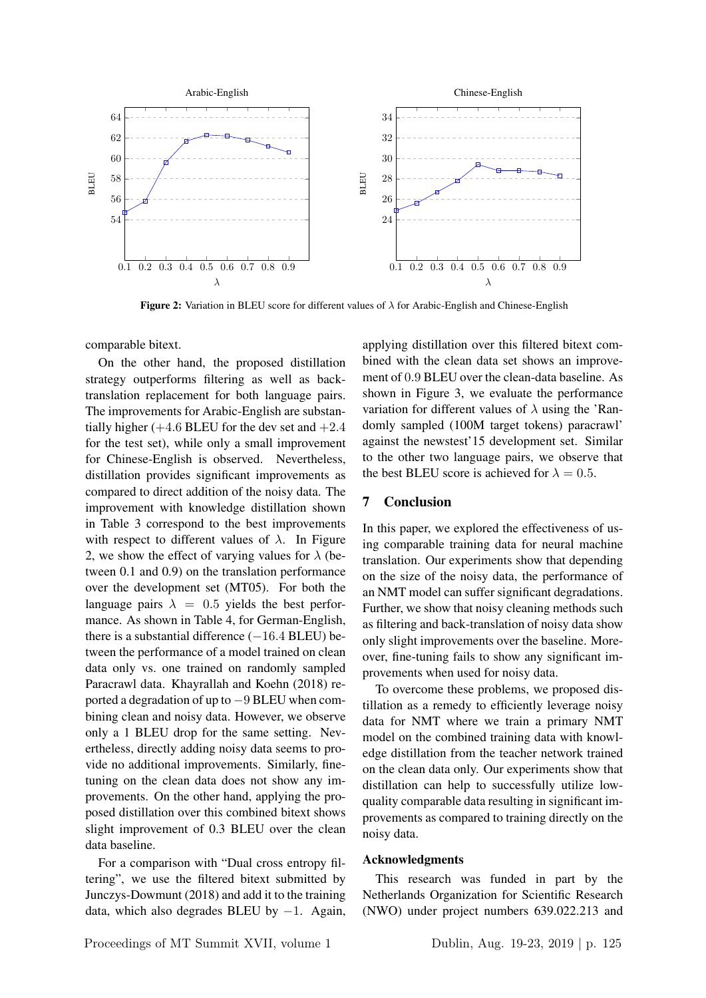

Figure 2: Variation in BLEU score for different values of  $\lambda$  for Arabic-English and Chinese-English

comparable bitext.

On the other hand, the proposed distillation strategy outperforms filtering as well as backtranslation replacement for both language pairs. The improvements for Arabic-English are substantially higher  $(+4.6$  BLEU for the dev set and  $+2.4$ for the test set), while only a small improvement for Chinese-English is observed. Nevertheless, distillation provides significant improvements as compared to direct addition of the noisy data. The improvement with knowledge distillation shown in Table 3 correspond to the best improvements with respect to different values of  $\lambda$ . In Figure 2, we show the effect of varying values for  $\lambda$  (between 0.1 and 0.9) on the translation performance over the development set (MT05). For both the language pairs  $\lambda = 0.5$  yields the best performance. As shown in Table 4, for German-English, there is a substantial difference  $(-16.4$  BLEU) between the performance of a model trained on clean data only vs. one trained on randomly sampled Paracrawl data. Khayrallah and Koehn (2018) reported a degradation of up to −9 BLEU when combining clean and noisy data. However, we observe only a 1 BLEU drop for the same setting. Nevertheless, directly adding noisy data seems to provide no additional improvements. Similarly, finetuning on the clean data does not show any improvements. On the other hand, applying the proposed distillation over this combined bitext shows slight improvement of 0.3 BLEU over the clean data baseline.

For a comparison with "Dual cross entropy filtering", we use the filtered bitext submitted by Junczys-Dowmunt (2018) and add it to the training data, which also degrades BLEU by  $-1$ . Again, applying distillation over this filtered bitext combined with the clean data set shows an improvement of 0.9 BLEU over the clean-data baseline. As shown in Figure 3, we evaluate the performance variation for different values of  $\lambda$  using the 'Randomly sampled (100M target tokens) paracrawl' against the newstest'15 development set. Similar to the other two language pairs, we observe that the best BLEU score is achieved for  $\lambda = 0.5$ .

# 7 Conclusion

In this paper, we explored the effectiveness of using comparable training data for neural machine translation. Our experiments show that depending on the size of the noisy data, the performance of an NMT model can suffer significant degradations. Further, we show that noisy cleaning methods such as filtering and back-translation of noisy data show only slight improvements over the baseline. Moreover, fine-tuning fails to show any significant improvements when used for noisy data.

To overcome these problems, we proposed distillation as a remedy to efficiently leverage noisy data for NMT where we train a primary NMT model on the combined training data with knowledge distillation from the teacher network trained on the clean data only. Our experiments show that distillation can help to successfully utilize lowquality comparable data resulting in significant improvements as compared to training directly on the noisy data.

### Acknowledgments

This research was funded in part by the Netherlands Organization for Scientific Research (NWO) under project numbers 639.022.213 and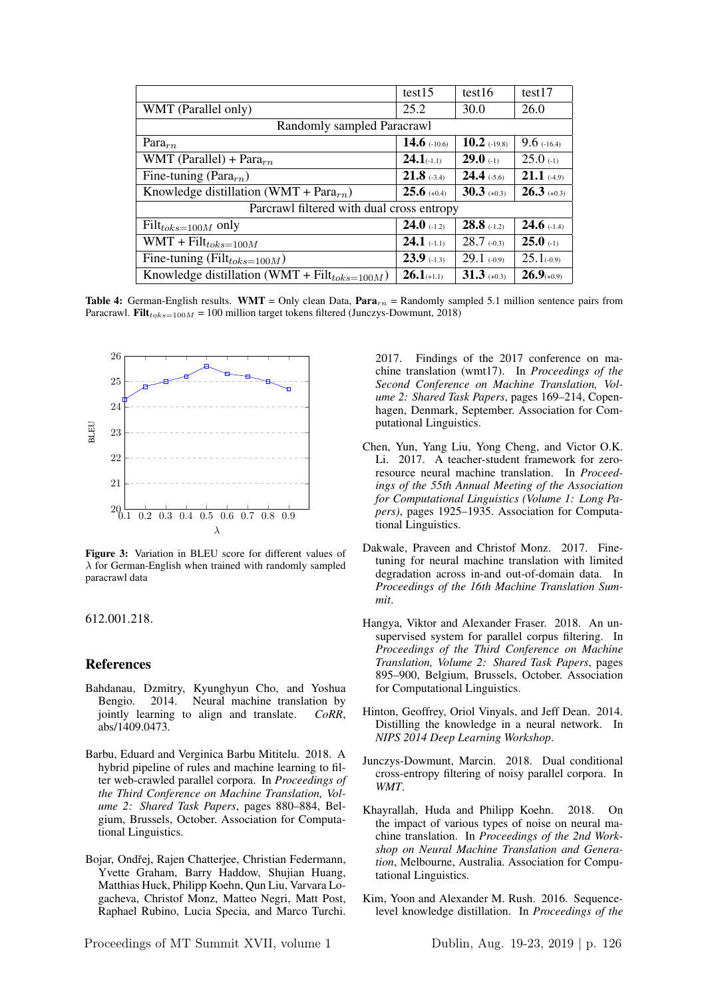|                                                    | test15          | test16         | test17          |  |  |
|----------------------------------------------------|-----------------|----------------|-----------------|--|--|
| WMT (Parallel only)                                | 25.2            | 30.0           | 26.0            |  |  |
| Randomly sampled Paracrawl                         |                 |                |                 |  |  |
| Para $_{rn}$                                       | 14.6 $(-10.6)$  | $10.2$ (-19.8) | $9.6$ (-16.4)   |  |  |
| WMT (Parallel) + Para $_{rn}$                      | $24.1_{(-1.1)}$ | $29.0$ (-1)    | $25.0$ (-1)     |  |  |
| Fine-tuning (Para $_{rn}$ )                        | $21.8$ (-3.4)   | $24.4$ (-5.6)  | $21.1$ (-4.9)   |  |  |
| Knowledge distillation (WMT + Para $_{rn}$ )       | $25.6$ (+0.4)   | $30.3$ (+0.3)  | $26.3$ (+0.3)   |  |  |
| Parcrawl filtered with dual cross entropy          |                 |                |                 |  |  |
| $Filt_{toks=100M}$ only                            | $24.0$ (-1.2)   | $28.8$ (-1.2)  | $24.6$ (-1.4)   |  |  |
| $WMT + Filt_{toks=100M}$                           | $24.1$ (-1.1)   | $28.7$ (-0.3)  | $25.0$ (-1)     |  |  |
| Fine-tuning (Filt $_{toks=100M}$ )                 | $23.9$ (-1.3)   | $29.1$ (-0.9)  | $25.1_{(-0.9)}$ |  |  |
| Knowledge distillation (WMT + $Filt_{toks=100M}$ ) | $26.1$ (+1.1)   | $31.3$ (+0.3)  | $26.9(+0.9)$    |  |  |

Table 4: German-English results. WMT = Only clean Data,  $Para_{rn}$  = Randomly sampled 5.1 million sentence pairs from Paracrawl. Filt<sub>toks=100M</sub> = 100 million target tokens filtered (Junczys-Dowmunt, 2018)



Figure 3: Variation in BLEU score for different values of  $\lambda$  for German-English when trained with randomly sampled paracrawl data

612.001.218.

#### References

- Bahdanau, Dzmitry, Kyunghyun Cho, and Yoshua Bengio. 2014. Neural machine translation by jointly learning to align and translate. *CoRR*, abs/1409.0473.
- Barbu, Eduard and Verginica Barbu Mititelu. 2018. A hybrid pipeline of rules and machine learning to filter web-crawled parallel corpora. In *Proceedings of the Third Conference on Machine Translation, Volume 2: Shared Task Papers*, pages 880–884, Belgium, Brussels, October. Association for Computational Linguistics.
- Bojar, Ondřej, Rajen Chatterjee, Christian Federmann, Yvette Graham, Barry Haddow, Shujian Huang, Matthias Huck, Philipp Koehn, Qun Liu, Varvara Logacheva, Christof Monz, Matteo Negri, Matt Post, Raphael Rubino, Lucia Specia, and Marco Turchi.

Proceedings of MT Summit XVII, volume 1 Dublin, Aug. 19-23, 2019 | p. 126

2017. Findings of the 2017 conference on machine translation (wmt17). In *Proceedings of the Second Conference on Machine Translation, Volume 2: Shared Task Papers*, pages 169–214, Copenhagen, Denmark, September. Association for Computational Linguistics.

- Chen, Yun, Yang Liu, Yong Cheng, and Victor O.K. Li. 2017. A teacher-student framework for zeroresource neural machine translation. In *Proceedings of the 55th Annual Meeting of the Association for Computational Linguistics (Volume 1: Long Papers)*, pages 1925–1935. Association for Computational Linguistics.
- Dakwale, Praveen and Christof Monz. 2017. Finetuning for neural machine translation with limited degradation across in-and out-of-domain data. In *Proceedings of the 16th Machine Translation Summit*.
- Hangya, Viktor and Alexander Fraser. 2018. An unsupervised system for parallel corpus filtering. In *Proceedings of the Third Conference on Machine Translation, Volume 2: Shared Task Papers*, pages 895–900, Belgium, Brussels, October. Association for Computational Linguistics.
- Hinton, Geoffrey, Oriol Vinyals, and Jeff Dean. 2014. Distilling the knowledge in a neural network. In *NIPS 2014 Deep Learning Workshop*.
- Junczys-Dowmunt, Marcin. 2018. Dual conditional cross-entropy filtering of noisy parallel corpora. In *WMT*.
- Khayrallah, Huda and Philipp Koehn. 2018. On the impact of various types of noise on neural machine translation. In *Proceedings of the 2nd Workshop on Neural Machine Translation and Generation*, Melbourne, Australia. Association for Computational Linguistics.
- Kim, Yoon and Alexander M. Rush. 2016. Sequencelevel knowledge distillation. In *Proceedings of the*